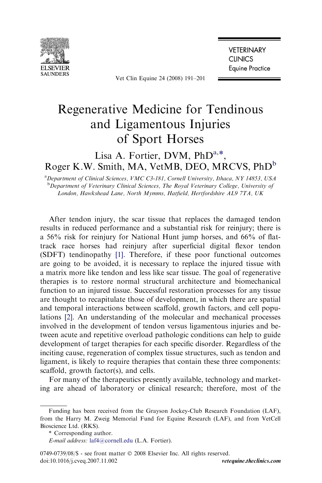

Vet Clin Equine 24 (2008) 191–201

**VETERINARY CLINICS Equine Practice** 

# Regenerative Medicine for Tendinous and Ligamentous Injuries of Sport Horses

# Lisa A. Fortier, DVM, PhDa,\*, Roger K.W. Smith, MA, VetMB, DEO, MRCVS,  $PhD<sup>b</sup>$

<sup>a</sup> Department of Clinical Sciences, VMC C3-181, Cornell University, Ithaca, NY 14853, USA **b** Department of Veterinary Clinical Sciences, The Royal Veterinary College, University of London, Hawkshead Lane, North Mymms, Hatfield, Hertfordshire AL9 7TA, UK

After tendon injury, the scar tissue that replaces the damaged tendon results in reduced performance and a substantial risk for reinjury; there is a 56% risk for reinjury for National Hunt jump horses, and 66% of flattrack race horses had reinjury after superficial digital flexor tendon (SDFT) tendinopathy [\[1\]](#page-8-0). Therefore, if these poor functional outcomes are going to be avoided, it is necessary to replace the injured tissue with a matrix more like tendon and less like scar tissue. The goal of regenerative therapies is to restore normal structural architecture and biomechanical function to an injured tissue. Successful restoration processes for any tissue are thought to recapitulate those of development, in which there are spatial and temporal interactions between scaffold, growth factors, and cell populations [\[2\]](#page-9-0). An understanding of the molecular and mechanical processes involved in the development of tendon versus ligamentous injuries and between acute and repetitive overload pathologic conditions can help to guide development of target therapies for each specific disorder. Regardless of the inciting cause, regeneration of complex tissue structures, such as tendon and ligament, is likely to require therapies that contain these three components: scaffold, growth factor(s), and cells.

For many of the therapeutics presently available, technology and marketing are ahead of laboratory or clinical research; therefore, most of the

Funding has been received from the Grayson Jockey-Club Research Foundation (LAF), from the Harry M. Zweig Memorial Fund for Equine Research (LAF), and from VetCell Bioscience Ltd. (RKS).

<sup>\*</sup> Corresponding author.

E-mail address: [laf4@cornell.edu](mailto:laf4@cornell.edu) (L.A. Fortier).

 $0749-0739/08$  s - see front matter  $\odot$  2008 Elsevier Inc. All rights reserved. doi:10.1016/j.cveq.2007.11.002 [vetequine.theclinics.com](http://www.vetequine.theclinics.com)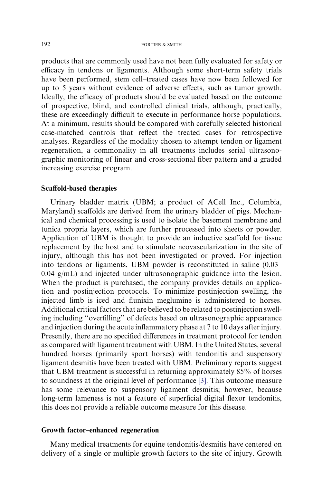products that are commonly used have not been fully evaluated for safety or efficacy in tendons or ligaments. Although some short-term safety trials have been performed, stem cell–treated cases have now been followed for up to 5 years without evidence of adverse effects, such as tumor growth. Ideally, the efficacy of products should be evaluated based on the outcome of prospective, blind, and controlled clinical trials, although, practically, these are exceedingly difficult to execute in performance horse populations. At a minimum, results should be compared with carefully selected historical case-matched controls that reflect the treated cases for retrospective analyses. Regardless of the modality chosen to attempt tendon or ligament regeneration, a commonality in all treatments includes serial ultrasonographic monitoring of linear and cross-sectional fiber pattern and a graded increasing exercise program.

# Scaffold-based therapies

Urinary bladder matrix (UBM; a product of ACell Inc., Columbia, Maryland) scaffolds are derived from the urinary bladder of pigs. Mechanical and chemical processing is used to isolate the basement membrane and tunica propria layers, which are further processed into sheets or powder. Application of UBM is thought to provide an inductive scaffold for tissue replacement by the host and to stimulate neovascularization in the site of injury, although this has not been investigated or proved. For injection into tendons or ligaments, UBM powder is reconstituted in saline (0.03– 0.04 g/mL) and injected under ultrasonographic guidance into the lesion. When the product is purchased, the company provides details on application and postinjection protocols. To minimize postinjection swelling, the injected limb is iced and flunixin meglumine is administered to horses. Additional critical factors that are believed to be related to postinjection swelling including ''overfilling'' of defects based on ultrasonographic appearance and injection during the acute inflammatory phase at 7 to 10 days after injury. Presently, there are no specified differences in treatment protocol for tendon as compared with ligament treatment with UBM. In the United States, several hundred horses (primarily sport horses) with tendonitis and suspensory ligament desmitis have been treated with UBM. Preliminary reports suggest that UBM treatment is successful in returning approximately 85% of horses to soundness at the original level of performance [\[3\].](#page-9-0) This outcome measure has some relevance to suspensory ligament desmitis; however, because long-term lameness is not a feature of superficial digital flexor tendonitis, this does not provide a reliable outcome measure for this disease.

### Growth factor–enhanced regeneration

Many medical treatments for equine tendonitis/desmitis have centered on delivery of a single or multiple growth factors to the site of injury. Growth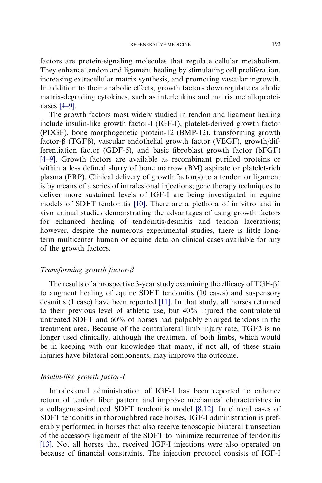factors are protein-signaling molecules that regulate cellular metabolism. They enhance tendon and ligament healing by stimulating cell proliferation, increasing extracellular matrix synthesis, and promoting vascular ingrowth. In addition to their anabolic effects, growth factors downregulate catabolic matrix-degrading cytokines, such as interleukins and matrix metalloproteinases [\[4–9\]](#page-9-0).

The growth factors most widely studied in tendon and ligament healing include insulin-like growth factor-I (IGF-I), platelet-derived growth factor (PDGF), bone morphogenetic protein-12 (BMP-12), transforming growth factor-b (TGFb), vascular endothelial growth factor (VEGF), growth/differentiation factor (GDF-5), and basic fibroblast growth factor (bFGF) [\[4–9\]](#page-9-0). Growth factors are available as recombinant purified proteins or within a less defined slurry of bone marrow (BM) aspirate or platelet-rich plasma (PRP). Clinical delivery of growth factor(s) to a tendon or ligament is by means of a series of intralesional injections; gene therapy techniques to deliver more sustained levels of IGF-I are being investigated in equine models of SDFT tendonitis [\[10\].](#page-9-0) There are a plethora of in vitro and in vivo animal studies demonstrating the advantages of using growth factors for enhanced healing of tendonitis/desmitis and tendon lacerations; however, despite the numerous experimental studies, there is little longterm multicenter human or equine data on clinical cases available for any of the growth factors.

# Transforming growth factor- $\beta$

The results of a prospective 3-year study examining the efficacy of TGF- $\beta$ 1 to augment healing of equine SDFT tendonitis (10 cases) and suspensory desmitis (1 case) have been reported [\[11\]](#page-9-0). In that study, all horses returned to their previous level of athletic use, but 40% injured the contralateral untreated SDFT and 60% of horses had palpably enlarged tendons in the treatment area. Because of the contralateral limb injury rate,  $TGF\beta$  is no longer used clinically, although the treatment of both limbs, which would be in keeping with our knowledge that many, if not all, of these strain injuries have bilateral components, may improve the outcome.

# Insulin-like growth factor-I

Intralesional administration of IGF-I has been reported to enhance return of tendon fiber pattern and improve mechanical characteristics in a collagenase-induced SDFT tendonitis model [\[8,12\].](#page-9-0) In clinical cases of SDFT tendonitis in thoroughbred race horses, IGF-I administration is preferably performed in horses that also receive tenoscopic bilateral transection of the accessory ligament of the SDFT to minimize recurrence of tendonitis [\[13\]](#page-9-0). Not all horses that received IGF-I injections were also operated on because of financial constraints. The injection protocol consists of IGF-I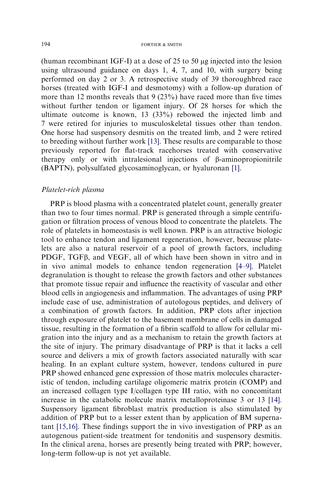(human recombinant IGF-I) at a dose of 25 to 50  $\mu$ g injected into the lesion using ultrasound guidance on days 1, 4, 7, and 10, with surgery being performed on day 2 or 3. A retrospective study of 39 thoroughbred race horses (treated with IGF-I and desmotomy) with a follow-up duration of more than 12 months reveals that 9 (23%) have raced more than five times without further tendon or ligament injury. Of 28 horses for which the ultimate outcome is known, 13 (33%) rebowed the injected limb and 7 were retired for injuries to musculoskeletal tissues other than tendon. One horse had suspensory desmitis on the treated limb, and 2 were retired to breeding without further work [\[13\].](#page-9-0) These results are comparable to those previously reported for flat-track racehorses treated with conservative therapy only or with intralesional injections of b-aminopropionitrile (BAPTN), polysulfated glycosaminoglycan, or hyaluronan [\[1\]](#page-8-0).

# Platelet-rich plasma

PRP is blood plasma with a concentrated platelet count, generally greater than two to four times normal. PRP is generated through a simple centrifugation or filtration process of venous blood to concentrate the platelets. The role of platelets in homeostasis is well known. PRP is an attractive biologic tool to enhance tendon and ligament regeneration, however, because platelets are also a natural reservoir of a pool of growth factors, including PDGF, TGFB, and VEGF, all of which have been shown in vitro and in in vivo animal models to enhance tendon regeneration [\[4–9\]](#page-9-0). Platelet degranulation is thought to release the growth factors and other substances that promote tissue repair and influence the reactivity of vascular and other blood cells in angiogenesis and inflammation. The advantages of using PRP include ease of use, administration of autologous peptides, and delivery of a combination of growth factors. In addition, PRP clots after injection through exposure of platelet to the basement membrane of cells in damaged tissue, resulting in the formation of a fibrin scaffold to allow for cellular migration into the injury and as a mechanism to retain the growth factors at the site of injury. The primary disadvantage of PRP is that it lacks a cell source and delivers a mix of growth factors associated naturally with scar healing. In an explant culture system, however, tendons cultured in pure PRP showed enhanced gene expression of those matrix molecules characteristic of tendon, including cartilage oligomeric matrix protein (COMP) and an increased collagen type I/collagen type III ratio, with no concomitant increase in the catabolic molecule matrix metalloproteinase 3 or 13 [\[14\]](#page-9-0). Suspensory ligament fibroblast matrix production is also stimulated by addition of PRP but to a lesser extent than by application of BM supernatant [\[15,16\]](#page-9-0). These findings support the in vivo investigation of PRP as an autogenous patient-side treatment for tendonitis and suspensory desmitis. In the clinical arena, horses are presently being treated with PRP; however, long-term follow-up is not yet available.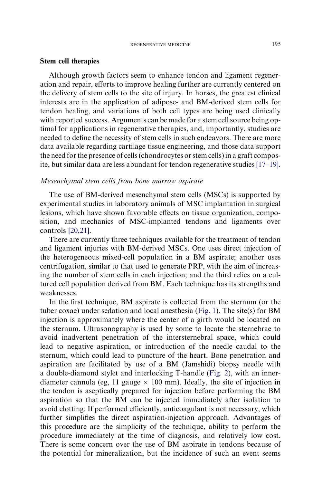#### Stem cell therapies

Although growth factors seem to enhance tendon and ligament regeneration and repair, efforts to improve healing further are currently centered on the delivery of stem cells to the site of injury. In horses, the greatest clinical interests are in the application of adipose- and BM-derived stem cells for tendon healing, and variations of both cell types are being used clinically with reported success. Arguments can be made for a stem cell source being optimal for applications in regenerative therapies, and, importantly, studies are needed to define the necessity of stem cells in such endeavors. There are more data available regarding cartilage tissue engineering, and those data support the need for the presence of cells (chondrocytes or stem cells) in a graft composite, but similar data are less abundant for tendon regenerative studies [\[17–19\].](#page-9-0)

# Mesenchymal stem cells from bone marrow aspirate

The use of BM-derived mesenchymal stem cells (MSCs) is supported by experimental studies in laboratory animals of MSC implantation in surgical lesions, which have shown favorable effects on tissue organization, composition, and mechanics of MSC-implanted tendons and ligaments over controls [\[20,21\].](#page-9-0)

There are currently three techniques available for the treatment of tendon and ligament injuries with BM-derived MSCs. One uses direct injection of the heterogeneous mixed-cell population in a BM aspirate; another uses centrifugation, similar to that used to generate PRP, with the aim of increasing the number of stem cells in each injection; and the third relies on a cultured cell population derived from BM. Each technique has its strengths and weaknesses.

In the first technique, BM aspirate is collected from the sternum (or the tuber coxae) under sedation and local anesthesia [\(Fig. 1\)](#page-5-0). The site(s) for BM injection is approximately where the center of a girth would be located on the sternum. Ultrasonography is used by some to locate the sternebrae to avoid inadvertent penetration of the intersternebral space, which could lead to negative aspiration, or introduction of the needle caudal to the sternum, which could lead to puncture of the heart. Bone penetration and aspiration are facilitated by use of a BM (Jamshidi) biopsy needle with a double-diamond stylet and interlocking T-handle ([Fig. 2](#page-5-0)), with an innerdiameter cannula (eg, 11 gauge  $\times$  100 mm). Ideally, the site of injection in the tendon is aseptically prepared for injection before performing the BM aspiration so that the BM can be injected immediately after isolation to avoid clotting. If performed efficiently, anticoagulant is not necessary, which further simplifies the direct aspiration-injection approach. Advantages of this procedure are the simplicity of the technique, ability to perform the procedure immediately at the time of diagnosis, and relatively low cost. There is some concern over the use of BM aspirate in tendons because of the potential for mineralization, but the incidence of such an event seems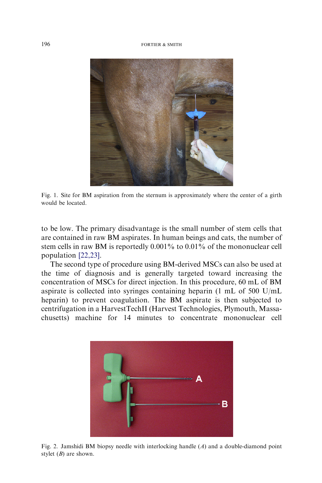<span id="page-5-0"></span>

Fig. 1. Site for BM aspiration from the sternum is approximately where the center of a girth would be located.

to be low. The primary disadvantage is the small number of stem cells that are contained in raw BM aspirates. In human beings and cats, the number of stem cells in raw BM is reportedly 0.001% to 0.01% of the mononuclear cell population [\[22,23\].](#page-9-0)

The second type of procedure using BM-derived MSCs can also be used at the time of diagnosis and is generally targeted toward increasing the concentration of MSCs for direct injection. In this procedure, 60 mL of BM aspirate is collected into syringes containing heparin (1 mL of 500 U/mL heparin) to prevent coagulation. The BM aspirate is then subjected to centrifugation in a HarvestTechII (Harvest Technologies, Plymouth, Massachusetts) machine for 14 minutes to concentrate mononuclear cell



Fig. 2. Jamshidi BM biopsy needle with interlocking handle  $(A)$  and a double-diamond point stylet  $(B)$  are shown.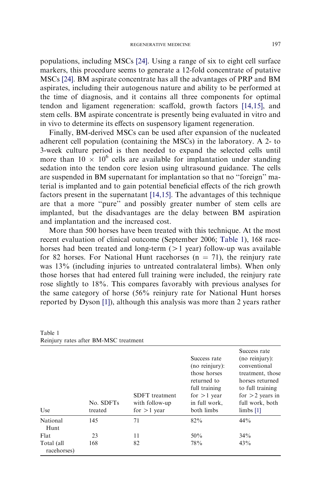populations, including MSCs [\[24\].](#page-9-0) Using a range of six to eight cell surface markers, this procedure seems to generate a 12-fold concentrate of putative MSCs [\[24\]](#page-9-0). BM aspirate concentrate has all the advantages of PRP and BM aspirates, including their autogenous nature and ability to be performed at the time of diagnosis, and it contains all three components for optimal tendon and ligament regeneration: scaffold, growth factors [\[14,15\],](#page-9-0) and stem cells. BM aspirate concentrate is presently being evaluated in vitro and in vivo to determine its effects on suspensory ligament regeneration.

Finally, BM-derived MSCs can be used after expansion of the nucleated adherent cell population (containing the MSCs) in the laboratory. A 2- to 3-week culture period is then needed to expand the selected cells until more than  $10 \times 10^6$  cells are available for implantation under standing sedation into the tendon core lesion using ultrasound guidance. The cells are suspended in BM supernatant for implantation so that no ''foreign'' material is implanted and to gain potential beneficial effects of the rich growth factors present in the supernatant [\[14,15\]](#page-9-0). The advantages of this technique are that a more ''pure'' and possibly greater number of stem cells are implanted, but the disadvantages are the delay between BM aspiration and implantation and the increased cost.

More than 500 horses have been treated with this technique. At the most recent evaluation of clinical outcome (September 2006; Table 1), 168 racehorses had been treated and long-term  $(1$  year) follow-up was available for 82 horses. For National Hunt racehorses ( $n = 71$ ), the reinjury rate was 13% (including injuries to untreated contralateral limbs). When only those horses that had entered full training were included, the reinjury rate rose slightly to 18%. This compares favorably with previous analyses for the same category of horse (56% reinjury rate for National Hunt horses reported by Dyson [\[1\]\)](#page-8-0), although this analysis was more than 2 years rather

| Use                       | No. SDFTs<br>treated | <b>SDFT</b> treatment<br>with follow-up<br>for $>1$ year | Success rate<br>(no reinjury):<br>those horses<br>returned to<br>full training<br>for $>1$ year<br>in full work,<br>both limbs | Success rate<br>(no reinjury):<br>conventional<br>treatment, those<br>horses returned<br>to full training<br>for $>2$ years in<br>full work, both<br>$limbs$ [1] |
|---------------------------|----------------------|----------------------------------------------------------|--------------------------------------------------------------------------------------------------------------------------------|------------------------------------------------------------------------------------------------------------------------------------------------------------------|
| National<br>Hunt          | 145                  | 71                                                       | 82%                                                                                                                            | 44%                                                                                                                                                              |
| Flat                      | 23                   | 11                                                       | 50%                                                                                                                            | 34%                                                                                                                                                              |
| Total (all<br>racehorses) | 168                  | 82                                                       | 78%                                                                                                                            | 43%                                                                                                                                                              |

Table 1 Reinjury rates after BM-MSC treatment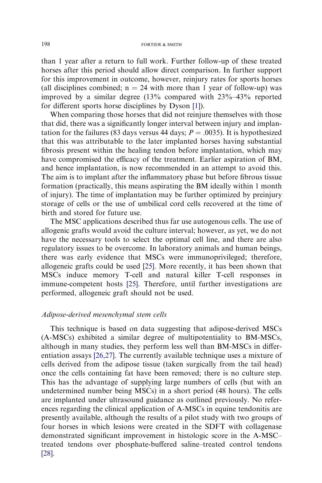than 1 year after a return to full work. Further follow-up of these treated horses after this period should allow direct comparison. In further support for this improvement in outcome, however, reinjury rates for sports horses (all disciplines combined;  $n = 24$  with more than 1 year of follow-up) was improved by a similar degree (13% compared with 23%–43% reported for different sports horse disciplines by Dyson [\[1\]\)](#page-8-0).

When comparing those horses that did not reinjure themselves with those that did, there was a significantly longer interval between injury and implantation for the failures (83 days versus 44 days;  $P = .0035$ ). It is hypothesized that this was attributable to the later implanted horses having substantial fibrosis present within the healing tendon before implantation, which may have compromised the efficacy of the treatment. Earlier aspiration of BM, and hence implantation, is now recommended in an attempt to avoid this. The aim is to implant after the inflammatory phase but before fibrous tissue formation (practically, this means aspirating the BM ideally within 1 month of injury). The time of implantation may be further optimized by preinjury storage of cells or the use of umbilical cord cells recovered at the time of birth and stored for future use.

The MSC applications described thus far use autogenous cells. The use of allogenic grafts would avoid the culture interval; however, as yet, we do not have the necessary tools to select the optimal cell line, and there are also regulatory issues to be overcome. In laboratory animals and human beings, there was early evidence that MSCs were immunoprivileged; therefore, allogeneic grafts could be used [\[25\]](#page-10-0). More recently, it has been shown that MSCs induce memory T-cell and natural killer T-cell responses in immune-competent hosts [\[25\]](#page-10-0). Therefore, until further investigations are performed, allogeneic graft should not be used.

#### Adipose-derived mesenchymal stem cells

This technique is based on data suggesting that adipose-derived MSCs (A-MSCs) exhibited a similar degree of multipotentiality to BM-MSCs, although in many studies, they perform less well than BM-MSCs in differentiation assays [\[26,27\].](#page-10-0) The currently available technique uses a mixture of cells derived from the adipose tissue (taken surgically from the tail head) once the cells containing fat have been removed; there is no culture step. This has the advantage of supplying large numbers of cells (but with an undetermined number being MSCs) in a short period (48 hours). The cells are implanted under ultrasound guidance as outlined previously. No references regarding the clinical application of A-MSCs in equine tendonitis are presently available, although the results of a pilot study with two groups of four horses in which lesions were created in the SDFT with collagenase demonstrated significant improvement in histologic score in the A-MSC– treated tendons over phosphate-buffered saline–treated control tendons [\[28\].](#page-10-0)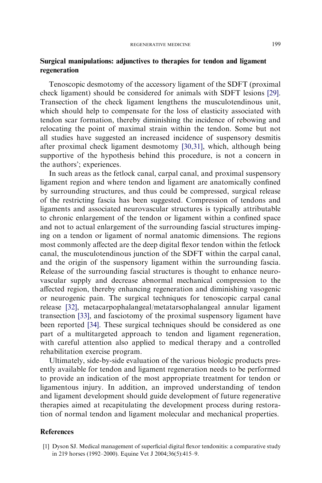# <span id="page-8-0"></span>Surgical manipulations: adjunctives to therapies for tendon and ligament regeneration

Tenoscopic desmotomy of the accessory ligament of the SDFT (proximal check ligament) should be considered for animals with SDFT lesions [\[29\].](#page-10-0) Transection of the check ligament lengthens the musculotendinous unit, which should help to compensate for the loss of elasticity associated with tendon scar formation, thereby diminishing the incidence of rebowing and relocating the point of maximal strain within the tendon. Some but not all studies have suggested an increased incidence of suspensory desmitis after proximal check ligament desmotomy [\[30,31\],](#page-10-0) which, although being supportive of the hypothesis behind this procedure, is not a concern in the authors'; experiences.

In such areas as the fetlock canal, carpal canal, and proximal suspensory ligament region and where tendon and ligament are anatomically confined by surrounding structures, and thus could be compressed, surgical release of the restricting fascia has been suggested. Compression of tendons and ligaments and associated neurovascular structures is typically attributable to chronic enlargement of the tendon or ligament within a confined space and not to actual enlargement of the surrounding fascial structures impinging on a tendon or ligament of normal anatomic dimensions. The regions most commonly affected are the deep digital flexor tendon within the fetlock canal, the musculotendinous junction of the SDFT within the carpal canal, and the origin of the suspensory ligament within the surrounding fascia. Release of the surrounding fascial structures is thought to enhance neurovascular supply and decrease abnormal mechanical compression to the affected region, thereby enhancing regeneration and diminishing vasogenic or neurogenic pain. The surgical techniques for tenoscopic carpal canal release [\[32\]](#page-10-0), metacarpophalangeal/metatarsophalangeal annular ligament transection [\[33\],](#page-10-0) and fasciotomy of the proximal suspensory ligament have been reported [\[34\].](#page-10-0) These surgical techniques should be considered as one part of a multitargeted approach to tendon and ligament regeneration, with careful attention also applied to medical therapy and a controlled rehabilitation exercise program.

Ultimately, side-by-side evaluation of the various biologic products presently available for tendon and ligament regeneration needs to be performed to provide an indication of the most appropriate treatment for tendon or ligamentous injury. In addition, an improved understanding of tendon and ligament development should guide development of future regenerative therapies aimed at recapitulating the development process during restoration of normal tendon and ligament molecular and mechanical properties.

# **References**

[1] Dyson SJ. Medical management of superficial digital flexor tendonitis: a comparative study in 219 horses (1992–2000). Equine Vet J 2004;36(5):415–9.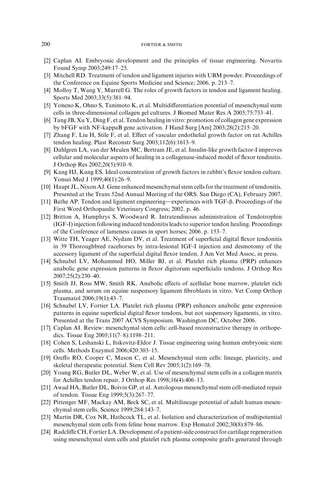#### <span id="page-9-0"></span>200 FORTIER & SMITH

- [2] Caplan AI. Embryonic development and the principles of tissue engineering. Novartis Found Symp 2003;249:17–25.
- [3] Mitchell RD. Treatment of tendon and ligament injuries with UBM powder. Proceedings of the Conference on Equine Sports Medicine and Science; 2006. p. 213–7.
- [4] Molloy T, Wang Y, Murrell G. The roles of growth factors in tendon and ligament healing. Sports Med 2003;33(5):381–94.
- [5] Yoneno K, Ohno S, Tanimoto K, et al. Multidifferentiation potential of mesenchymal stem cells in three-dimensional collagen gel cultures. J Biomed Mater Res A 2005;75:733–41.
- [6] Tang JB, Xu Y, Ding F, et al. Tendon healing in vitro: promotion of collagen gene expression by bFGF with NF-kappaB gene activation. J Hand Surg [Am] 2003;28(2):215–20.
- [7] Zhang F, Liu H, Stile F, et al. Effect of vascular endothelial growth factor on rat Achilles tendon healing. Plast Reconstr Surg 2003;112(6):1613–9.
- [8] Dahlgren LA, van der Meulen MC, Bertram JE, et al. Insulin-like growth factor-I improves cellular and molecular aspects of healing in a collagenase-induced model of flexor tendinitis. J Orthop Res 2002;20(5):910–9.
- [9] Kang HJ, Kang ES. Ideal concentration of growth factors in rabbit's flexor tendon culture. Yonsei Med J 1999;40(1):26–9.
- [10] Haupt JL, Nixon AJ. Gene enhanced mesenchymal stem cells for the treatment of tendonitis. Presented at the Trans 52nd Annual Meeting of the ORS. San Diego (CA), February 2007.
- [11] Bathe AP. Tendon and ligament engineering—experiences with TGF- $\beta$ . Proceedings of the First Word Orthopaedic Veterinary Congress; 2002. p. 46.
- [12] Britton A, Humphrys S, Woodward R. Intratendinous administration of Tendotrophin (IGF-I) injection following induced tendonitis leads to superior tendon healing. Proceedings of the Conference of lameness causes in sport horses; 2006. p. 153–7.
- [13] Witte TH, Yeager AE, Nydam DV, et al. Treatment of superficial digital flexor tendonitis in 39 Thoroughbred racehorses by intra-lesional IGF-I injection and desmotomy of the accessory ligament of the superficial digital flexor tendon. J Am Vet Med Assoc, in press.
- [14] Schnabel LV, Mohammed HO, Miller BJ, et al. Platelet rich plasma (PRP) enhances anabolic gene expression patterns in flexor digitorum superficialis tendons. J Orthop Res 2007;25(2):230–40.
- [15] Smith JJ, Ross MW, Smith RK. Anabolic effects of acellular bone marrow, platelet rich plasma, and serum on equine suspensory ligament fibroblasts in vitro. Vet Comp Orthop Traumatol 2006;19(1):43–7.
- [16] Schnabel LV, Fortier LA. Platelet rich plasma (PRP) enhances anabolic gene expression patterns in equine superficial digital flexor tendons, but not suspensory ligaments, in vitro. Presented at the Trans 2007 ACVS Symposium. Washington DC, October 2006.
- [17] Caplan AI. Review: mesenchymal stem cells: cell-based reconstructive therapy in orthopedics. Tissue Eng 2005;11(7–8):1198–211.
- [18] Cohen S, Leshanski L, Itskovitz-Eldor J. Tissue engineering using human embryonic stem cells. Methods Enzymol 2006;420:303–15.
- [19] Oreffo RO, Cooper C, Mason C, et al. Mesenchymal stem cells: lineage, plasticity, and skeletal therapeutic potential. Stem Cell Rev 2005;1(2):169–78.
- [20] Young RG, Butler DL, Weber W, et al. Use of mesenchymal stem cells in a collagen matrix for Achilles tendon repair. J Orthop Res 1998;16(4):406–13.
- [21] Awad HA, Butler DL, Boivin GP, et al. Autologous mesenchymal stem cell-mediated repair of tendon. Tissue Eng 1999;5(3):267–77.
- [22] Pittenger MF, Mackay AM, Beck SC, et al. Multilineage potential of adult human mesenchymal stem cells. Science 1999;284:143–7.
- [23] Martin DR, Cox NR, Hathcock TL, et al. Isolation and characterization of multipotential mesenchymal stem cells from feline bone marrow. Exp Hematol 2002;30(8):879–86.
- [24] Radcliffe CH, Fortier LA. Development of a patient-side construct for cartilage regeneration using mesenchymal stem cells and platelet rich plasma composite grafts generated through